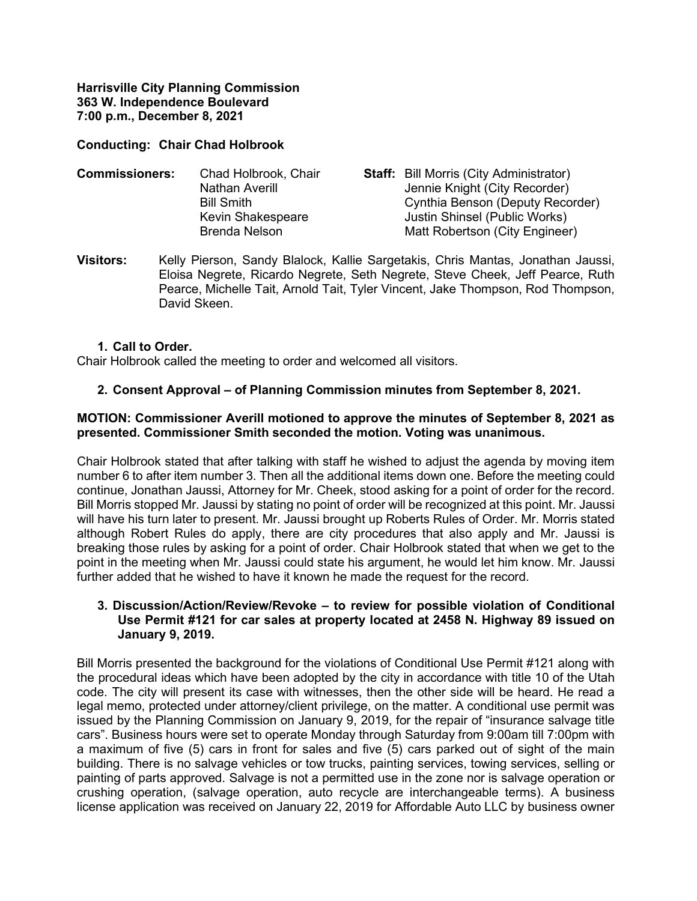**Harrisville City Planning Commission 363 W. Independence Boulevard 7:00 p.m., December 8, 2021**

**Conducting: Chair Chad Holbrook** 

| <b>Commissioners:</b> | Chad Holbrook, Chair | <b>Staff:</b> Bill Morris (City Administrator) |
|-----------------------|----------------------|------------------------------------------------|
|                       | Nathan Averill       | Jennie Knight (City Recorder)                  |
|                       | <b>Bill Smith</b>    | Cynthia Benson (Deputy Recorder)               |
|                       | Kevin Shakespeare    | Justin Shinsel (Public Works)                  |
|                       | <b>Brenda Nelson</b> | Matt Robertson (City Engineer)                 |

**Visitors:** Kelly Pierson, Sandy Blalock, Kallie Sargetakis, Chris Mantas, Jonathan Jaussi, Eloisa Negrete, Ricardo Negrete, Seth Negrete, Steve Cheek, Jeff Pearce, Ruth Pearce, Michelle Tait, Arnold Tait, Tyler Vincent, Jake Thompson, Rod Thompson, David Skeen.

# **1. Call to Order.**

Chair Holbrook called the meeting to order and welcomed all visitors.

# **2. Consent Approval – of Planning Commission minutes from September 8, 2021.**

### **MOTION: Commissioner Averill motioned to approve the minutes of September 8, 2021 as presented. Commissioner Smith seconded the motion. Voting was unanimous.**

Chair Holbrook stated that after talking with staff he wished to adjust the agenda by moving item number 6 to after item number 3. Then all the additional items down one. Before the meeting could continue, Jonathan Jaussi, Attorney for Mr. Cheek, stood asking for a point of order for the record. Bill Morris stopped Mr. Jaussi by stating no point of order will be recognized at this point. Mr. Jaussi will have his turn later to present. Mr. Jaussi brought up Roberts Rules of Order. Mr. Morris stated although Robert Rules do apply, there are city procedures that also apply and Mr. Jaussi is breaking those rules by asking for a point of order. Chair Holbrook stated that when we get to the point in the meeting when Mr. Jaussi could state his argument, he would let him know. Mr. Jaussi further added that he wished to have it known he made the request for the record.

#### **3. Discussion/Action/Review/Revoke – to review for possible violation of Conditional Use Permit #121 for car sales at property located at 2458 N. Highway 89 issued on January 9, 2019.**

Bill Morris presented the background for the violations of Conditional Use Permit #121 along with the procedural ideas which have been adopted by the city in accordance with title 10 of the Utah code. The city will present its case with witnesses, then the other side will be heard. He read a legal memo, protected under attorney/client privilege, on the matter. A conditional use permit was issued by the Planning Commission on January 9, 2019, for the repair of "insurance salvage title cars". Business hours were set to operate Monday through Saturday from 9:00am till 7:00pm with a maximum of five (5) cars in front for sales and five (5) cars parked out of sight of the main building. There is no salvage vehicles or tow trucks, painting services, towing services, selling or painting of parts approved. Salvage is not a permitted use in the zone nor is salvage operation or crushing operation, (salvage operation, auto recycle are interchangeable terms). A business license application was received on January 22, 2019 for Affordable Auto LLC by business owner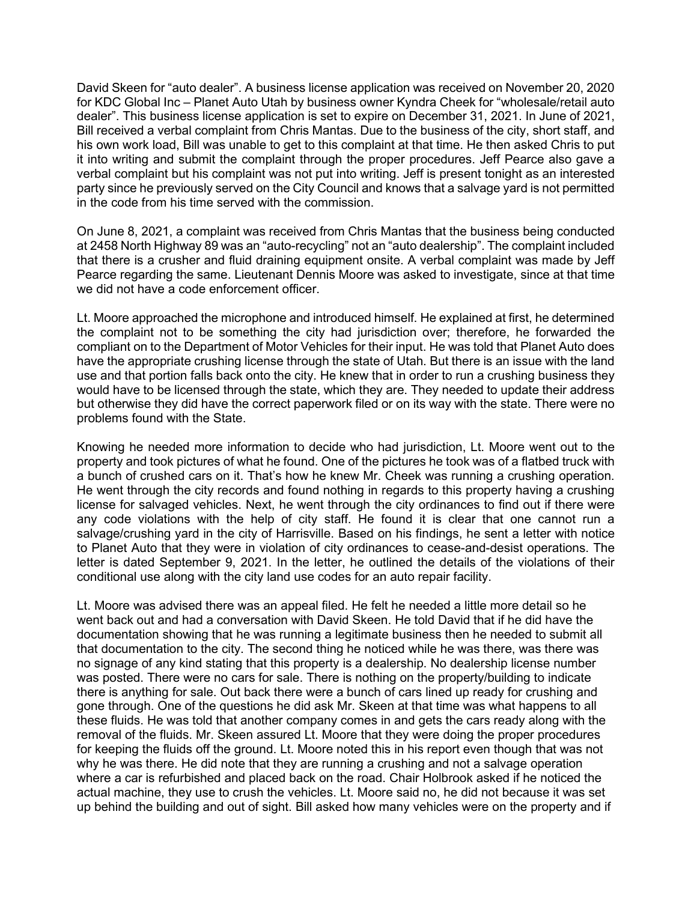David Skeen for "auto dealer". A business license application was received on November 20, 2020 for KDC Global Inc – Planet Auto Utah by business owner Kyndra Cheek for "wholesale/retail auto dealer". This business license application is set to expire on December 31, 2021. In June of 2021, Bill received a verbal complaint from Chris Mantas. Due to the business of the city, short staff, and his own work load, Bill was unable to get to this complaint at that time. He then asked Chris to put it into writing and submit the complaint through the proper procedures. Jeff Pearce also gave a verbal complaint but his complaint was not put into writing. Jeff is present tonight as an interested party since he previously served on the City Council and knows that a salvage yard is not permitted in the code from his time served with the commission.

On June 8, 2021, a complaint was received from Chris Mantas that the business being conducted at 2458 North Highway 89 was an "auto-recycling" not an "auto dealership". The complaint included that there is a crusher and fluid draining equipment onsite. A verbal complaint was made by Jeff Pearce regarding the same. Lieutenant Dennis Moore was asked to investigate, since at that time we did not have a code enforcement officer.

Lt. Moore approached the microphone and introduced himself. He explained at first, he determined the complaint not to be something the city had jurisdiction over; therefore, he forwarded the compliant on to the Department of Motor Vehicles for their input. He was told that Planet Auto does have the appropriate crushing license through the state of Utah. But there is an issue with the land use and that portion falls back onto the city. He knew that in order to run a crushing business they would have to be licensed through the state, which they are. They needed to update their address but otherwise they did have the correct paperwork filed or on its way with the state. There were no problems found with the State.

Knowing he needed more information to decide who had jurisdiction, Lt. Moore went out to the property and took pictures of what he found. One of the pictures he took was of a flatbed truck with a bunch of crushed cars on it. That's how he knew Mr. Cheek was running a crushing operation. He went through the city records and found nothing in regards to this property having a crushing license for salvaged vehicles. Next, he went through the city ordinances to find out if there were any code violations with the help of city staff. He found it is clear that one cannot run a salvage/crushing yard in the city of Harrisville. Based on his findings, he sent a letter with notice to Planet Auto that they were in violation of city ordinances to cease-and-desist operations. The letter is dated September 9, 2021. In the letter, he outlined the details of the violations of their conditional use along with the city land use codes for an auto repair facility.

Lt. Moore was advised there was an appeal filed. He felt he needed a little more detail so he went back out and had a conversation with David Skeen. He told David that if he did have the documentation showing that he was running a legitimate business then he needed to submit all that documentation to the city. The second thing he noticed while he was there, was there was no signage of any kind stating that this property is a dealership. No dealership license number was posted. There were no cars for sale. There is nothing on the property/building to indicate there is anything for sale. Out back there were a bunch of cars lined up ready for crushing and gone through. One of the questions he did ask Mr. Skeen at that time was what happens to all these fluids. He was told that another company comes in and gets the cars ready along with the removal of the fluids. Mr. Skeen assured Lt. Moore that they were doing the proper procedures for keeping the fluids off the ground. Lt. Moore noted this in his report even though that was not why he was there. He did note that they are running a crushing and not a salvage operation where a car is refurbished and placed back on the road. Chair Holbrook asked if he noticed the actual machine, they use to crush the vehicles. Lt. Moore said no, he did not because it was set up behind the building and out of sight. Bill asked how many vehicles were on the property and if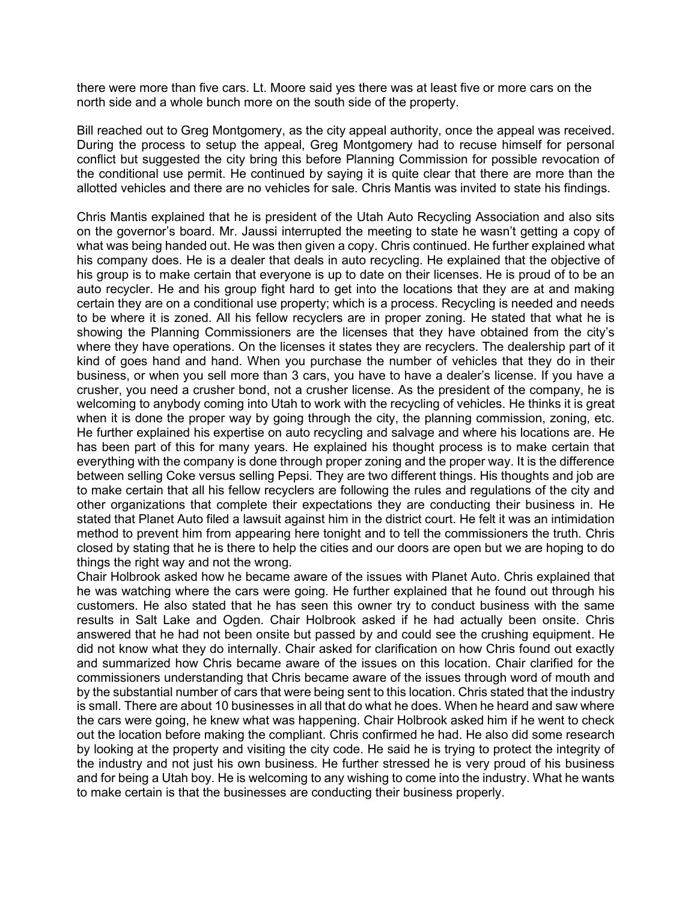there were more than five cars. Lt. Moore said yes there was at least five or more cars on the north side and a whole bunch more on the south side of the property.

Bill reached out to Greg Montgomery, as the city appeal authority, once the appeal was received. During the process to setup the appeal, Greg Montgomery had to recuse himself for personal conflict but suggested the city bring this before Planning Commission for possible revocation of the conditional use permit. He continued by saying it is quite clear that there are more than the allotted vehicles and there are no vehicles for sale. Chris Mantis was invited to state his findings.

Chris Mantis explained that he is president of the Utah Auto Recycling Association and also sits on the governor's board. Mr. Jaussi interrupted the meeting to state he wasn't getting a copy of what was being handed out. He was then given a copy. Chris continued. He further explained what his company does. He is a dealer that deals in auto recycling. He explained that the objective of his group is to make certain that everyone is up to date on their licenses. He is proud of to be an auto recycler. He and his group fight hard to get into the locations that they are at and making certain they are on a conditional use property; which is a process. Recycling is needed and needs to be where it is zoned. All his fellow recyclers are in proper zoning. He stated that what he is showing the Planning Commissioners are the licenses that they have obtained from the city's where they have operations. On the licenses it states they are recyclers. The dealership part of it kind of goes hand and hand. When you purchase the number of vehicles that they do in their business, or when you sell more than 3 cars, you have to have a dealer's license. If you have a crusher, you need a crusher bond, not a crusher license. As the president of the company, he is welcoming to anybody coming into Utah to work with the recycling of vehicles. He thinks it is great when it is done the proper way by going through the city, the planning commission, zoning, etc. He further explained his expertise on auto recycling and salvage and where his locations are. He has been part of this for many years. He explained his thought process is to make certain that everything with the company is done through proper zoning and the proper way. It is the difference between selling Coke versus selling Pepsi. They are two different things. His thoughts and job are to make certain that all his fellow recyclers are following the rules and regulations of the city and other organizations that complete their expectations they are conducting their business in. He stated that Planet Auto filed a lawsuit against him in the district court. He felt it was an intimidation method to prevent him from appearing here tonight and to tell the commissioners the truth. Chris closed by stating that he is there to help the cities and our doors are open but we are hoping to do things the right way and not the wrong.

Chair Holbrook asked how he became aware of the issues with Planet Auto. Chris explained that he was watching where the cars were going. He further explained that he found out through his customers. He also stated that he has seen this owner try to conduct business with the same results in Salt Lake and Ogden. Chair Holbrook asked if he had actually been onsite. Chris answered that he had not been onsite but passed by and could see the crushing equipment. He did not know what they do internally. Chair asked for clarification on how Chris found out exactly and summarized how Chris became aware of the issues on this location. Chair clarified for the commissioners understanding that Chris became aware of the issues through word of mouth and by the substantial number of cars that were being sent to this location. Chris stated that the industry is small. There are about 10 businesses in all that do what he does. When he heard and saw where the cars were going, he knew what was happening. Chair Holbrook asked him if he went to check out the location before making the compliant. Chris confirmed he had. He also did some research by looking at the property and visiting the city code. He said he is trying to protect the integrity of the industry and not just his own business. He further stressed he is very proud of his business and for being a Utah boy. He is welcoming to any wishing to come into the industry. What he wants to make certain is that the businesses are conducting their business properly.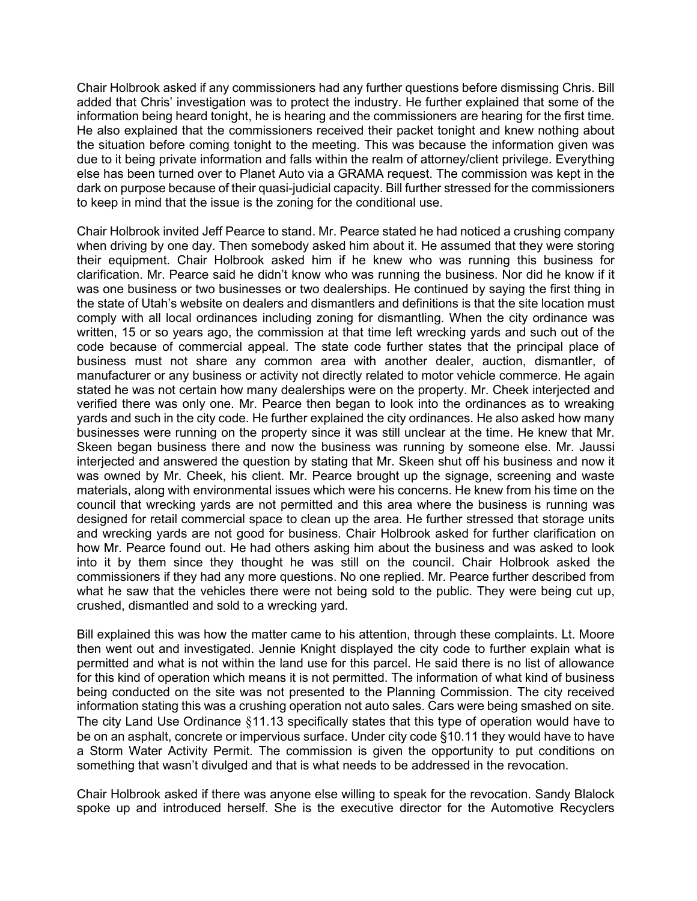Chair Holbrook asked if any commissioners had any further questions before dismissing Chris. Bill added that Chris' investigation was to protect the industry. He further explained that some of the information being heard tonight, he is hearing and the commissioners are hearing for the first time. He also explained that the commissioners received their packet tonight and knew nothing about the situation before coming tonight to the meeting. This was because the information given was due to it being private information and falls within the realm of attorney/client privilege. Everything else has been turned over to Planet Auto via a GRAMA request. The commission was kept in the dark on purpose because of their quasi-judicial capacity. Bill further stressed for the commissioners to keep in mind that the issue is the zoning for the conditional use.

Chair Holbrook invited Jeff Pearce to stand. Mr. Pearce stated he had noticed a crushing company when driving by one day. Then somebody asked him about it. He assumed that they were storing their equipment. Chair Holbrook asked him if he knew who was running this business for clarification. Mr. Pearce said he didn't know who was running the business. Nor did he know if it was one business or two businesses or two dealerships. He continued by saying the first thing in the state of Utah's website on dealers and dismantlers and definitions is that the site location must comply with all local ordinances including zoning for dismantling. When the city ordinance was written, 15 or so years ago, the commission at that time left wrecking yards and such out of the code because of commercial appeal. The state code further states that the principal place of business must not share any common area with another dealer, auction, dismantler, of manufacturer or any business or activity not directly related to motor vehicle commerce. He again stated he was not certain how many dealerships were on the property. Mr. Cheek interjected and verified there was only one. Mr. Pearce then began to look into the ordinances as to wreaking yards and such in the city code. He further explained the city ordinances. He also asked how many businesses were running on the property since it was still unclear at the time. He knew that Mr. Skeen began business there and now the business was running by someone else. Mr. Jaussi interjected and answered the question by stating that Mr. Skeen shut off his business and now it was owned by Mr. Cheek, his client. Mr. Pearce brought up the signage, screening and waste materials, along with environmental issues which were his concerns. He knew from his time on the council that wrecking yards are not permitted and this area where the business is running was designed for retail commercial space to clean up the area. He further stressed that storage units and wrecking yards are not good for business. Chair Holbrook asked for further clarification on how Mr. Pearce found out. He had others asking him about the business and was asked to look into it by them since they thought he was still on the council. Chair Holbrook asked the commissioners if they had any more questions. No one replied. Mr. Pearce further described from what he saw that the vehicles there were not being sold to the public. They were being cut up, crushed, dismantled and sold to a wrecking yard.

Bill explained this was how the matter came to his attention, through these complaints. Lt. Moore then went out and investigated. Jennie Knight displayed the city code to further explain what is permitted and what is not within the land use for this parcel. He said there is no list of allowance for this kind of operation which means it is not permitted. The information of what kind of business being conducted on the site was not presented to the Planning Commission. The city received information stating this was a crushing operation not auto sales. Cars were being smashed on site. The city Land Use Ordinance §11.13 specifically states that this type of operation would have to be on an asphalt, concrete or impervious surface. Under city code §10.11 they would have to have a Storm Water Activity Permit. The commission is given the opportunity to put conditions on something that wasn't divulged and that is what needs to be addressed in the revocation.

Chair Holbrook asked if there was anyone else willing to speak for the revocation. Sandy Blalock spoke up and introduced herself. She is the executive director for the Automotive Recyclers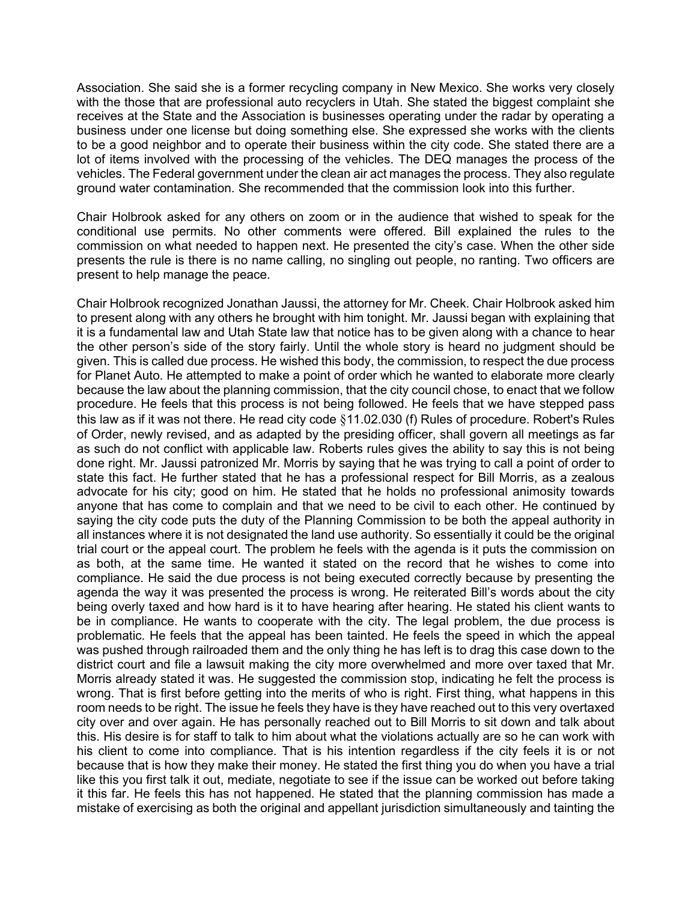Association. She said she is a former recycling company in New Mexico. She works very closely with the those that are professional auto recyclers in Utah. She stated the biggest complaint she receives at the State and the Association is businesses operating under the radar by operating a business under one license but doing something else. She expressed she works with the clients to be a good neighbor and to operate their business within the city code. She stated there are a lot of items involved with the processing of the vehicles. The DEQ manages the process of the vehicles. The Federal government under the clean air act manages the process. They also regulate ground water contamination. She recommended that the commission look into this further.

Chair Holbrook asked for any others on zoom or in the audience that wished to speak for the conditional use permits. No other comments were offered. Bill explained the rules to the commission on what needed to happen next. He presented the city's case. When the other side presents the rule is there is no name calling, no singling out people, no ranting. Two officers are present to help manage the peace.

Chair Holbrook recognized Jonathan Jaussi, the attorney for Mr. Cheek. Chair Holbrook asked him to present along with any others he brought with him tonight. Mr. Jaussi began with explaining that it is a fundamental law and Utah State law that notice has to be given along with a chance to hear the other person's side of the story fairly. Until the whole story is heard no judgment should be given. This is called due process. He wished this body, the commission, to respect the due process for Planet Auto. He attempted to make a point of order which he wanted to elaborate more clearly because the law about the planning commission, that the city council chose, to enact that we follow procedure. He feels that this process is not being followed. He feels that we have stepped pass this law as if it was not there. He read city code §11.02.030 (f) Rules of procedure. Robert's Rules of Order, newly revised, and as adapted by the presiding officer, shall govern all meetings as far as such do not conflict with applicable law. Roberts rules gives the ability to say this is not being done right. Mr. Jaussi patronized Mr. Morris by saying that he was trying to call a point of order to state this fact. He further stated that he has a professional respect for Bill Morris, as a zealous advocate for his city; good on him. He stated that he holds no professional animosity towards anyone that has come to complain and that we need to be civil to each other. He continued by saying the city code puts the duty of the Planning Commission to be both the appeal authority in all instances where it is not designated the land use authority. So essentially it could be the original trial court or the appeal court. The problem he feels with the agenda is it puts the commission on as both, at the same time. He wanted it stated on the record that he wishes to come into compliance. He said the due process is not being executed correctly because by presenting the agenda the way it was presented the process is wrong. He reiterated Bill's words about the city being overly taxed and how hard is it to have hearing after hearing. He stated his client wants to be in compliance. He wants to cooperate with the city. The legal problem, the due process is problematic. He feels that the appeal has been tainted. He feels the speed in which the appeal was pushed through railroaded them and the only thing he has left is to drag this case down to the district court and file a lawsuit making the city more overwhelmed and more over taxed that Mr. Morris already stated it was. He suggested the commission stop, indicating he felt the process is wrong. That is first before getting into the merits of who is right. First thing, what happens in this room needs to be right. The issue he feels they have is they have reached out to this very overtaxed city over and over again. He has personally reached out to Bill Morris to sit down and talk about this. His desire is for staff to talk to him about what the violations actually are so he can work with his client to come into compliance. That is his intention regardless if the city feels it is or not because that is how they make their money. He stated the first thing you do when you have a trial like this you first talk it out, mediate, negotiate to see if the issue can be worked out before taking it this far. He feels this has not happened. He stated that the planning commission has made a mistake of exercising as both the original and appellant jurisdiction simultaneously and tainting the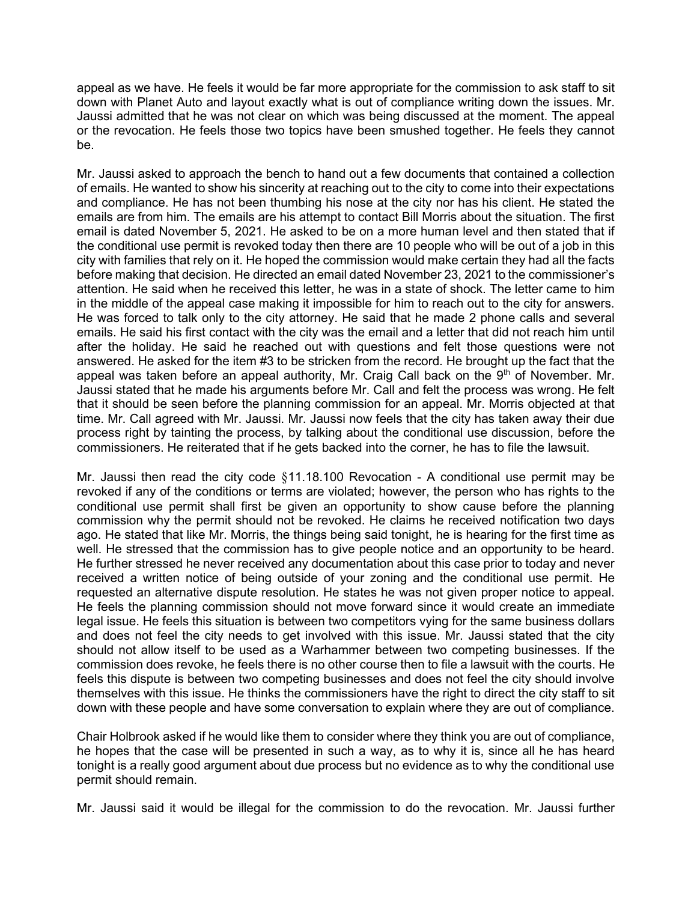appeal as we have. He feels it would be far more appropriate for the commission to ask staff to sit down with Planet Auto and layout exactly what is out of compliance writing down the issues. Mr. Jaussi admitted that he was not clear on which was being discussed at the moment. The appeal or the revocation. He feels those two topics have been smushed together. He feels they cannot be.

Mr. Jaussi asked to approach the bench to hand out a few documents that contained a collection of emails. He wanted to show his sincerity at reaching out to the city to come into their expectations and compliance. He has not been thumbing his nose at the city nor has his client. He stated the emails are from him. The emails are his attempt to contact Bill Morris about the situation. The first email is dated November 5, 2021. He asked to be on a more human level and then stated that if the conditional use permit is revoked today then there are 10 people who will be out of a job in this city with families that rely on it. He hoped the commission would make certain they had all the facts before making that decision. He directed an email dated November 23, 2021 to the commissioner's attention. He said when he received this letter, he was in a state of shock. The letter came to him in the middle of the appeal case making it impossible for him to reach out to the city for answers. He was forced to talk only to the city attorney. He said that he made 2 phone calls and several emails. He said his first contact with the city was the email and a letter that did not reach him until after the holiday. He said he reached out with questions and felt those questions were not answered. He asked for the item #3 to be stricken from the record. He brought up the fact that the appeal was taken before an appeal authority, Mr. Craig Call back on the  $9<sup>th</sup>$  of November. Mr. Jaussi stated that he made his arguments before Mr. Call and felt the process was wrong. He felt that it should be seen before the planning commission for an appeal. Mr. Morris objected at that time. Mr. Call agreed with Mr. Jaussi. Mr. Jaussi now feels that the city has taken away their due process right by tainting the process, by talking about the conditional use discussion, before the commissioners. He reiterated that if he gets backed into the corner, he has to file the lawsuit.

Mr. Jaussi then read the city code  $\S11.18.100$  Revocation - A conditional use permit may be revoked if any of the conditions or terms are violated; however, the person who has rights to the conditional use permit shall first be given an opportunity to show cause before the planning commission why the permit should not be revoked. He claims he received notification two days ago. He stated that like Mr. Morris, the things being said tonight, he is hearing for the first time as well. He stressed that the commission has to give people notice and an opportunity to be heard. He further stressed he never received any documentation about this case prior to today and never received a written notice of being outside of your zoning and the conditional use permit. He requested an alternative dispute resolution. He states he was not given proper notice to appeal. He feels the planning commission should not move forward since it would create an immediate legal issue. He feels this situation is between two competitors vying for the same business dollars and does not feel the city needs to get involved with this issue. Mr. Jaussi stated that the city should not allow itself to be used as a Warhammer between two competing businesses. If the commission does revoke, he feels there is no other course then to file a lawsuit with the courts. He feels this dispute is between two competing businesses and does not feel the city should involve themselves with this issue. He thinks the commissioners have the right to direct the city staff to sit down with these people and have some conversation to explain where they are out of compliance.

Chair Holbrook asked if he would like them to consider where they think you are out of compliance, he hopes that the case will be presented in such a way, as to why it is, since all he has heard tonight is a really good argument about due process but no evidence as to why the conditional use permit should remain.

Mr. Jaussi said it would be illegal for the commission to do the revocation. Mr. Jaussi further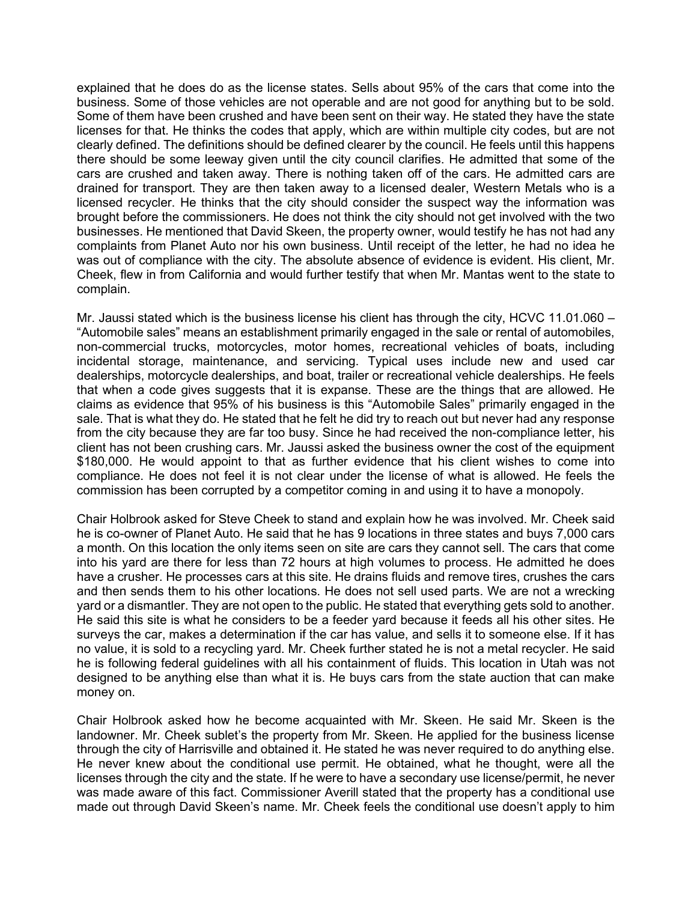explained that he does do as the license states. Sells about 95% of the cars that come into the business. Some of those vehicles are not operable and are not good for anything but to be sold. Some of them have been crushed and have been sent on their way. He stated they have the state licenses for that. He thinks the codes that apply, which are within multiple city codes, but are not clearly defined. The definitions should be defined clearer by the council. He feels until this happens there should be some leeway given until the city council clarifies. He admitted that some of the cars are crushed and taken away. There is nothing taken off of the cars. He admitted cars are drained for transport. They are then taken away to a licensed dealer, Western Metals who is a licensed recycler. He thinks that the city should consider the suspect way the information was brought before the commissioners. He does not think the city should not get involved with the two businesses. He mentioned that David Skeen, the property owner, would testify he has not had any complaints from Planet Auto nor his own business. Until receipt of the letter, he had no idea he was out of compliance with the city. The absolute absence of evidence is evident. His client, Mr. Cheek, flew in from California and would further testify that when Mr. Mantas went to the state to complain.

Mr. Jaussi stated which is the business license his client has through the city, HCVC 11.01.060  $-$ "Automobile sales" means an establishment primarily engaged in the sale or rental of automobiles, non-commercial trucks, motorcycles, motor homes, recreational vehicles of boats, including incidental storage, maintenance, and servicing. Typical uses include new and used car dealerships, motorcycle dealerships, and boat, trailer or recreational vehicle dealerships. He feels that when a code gives suggests that it is expanse. These are the things that are allowed. He claims as evidence that 95% of his business is this "Automobile Sales" primarily engaged in the sale. That is what they do. He stated that he felt he did try to reach out but never had any response from the city because they are far too busy. Since he had received the non-compliance letter, his client has not been crushing cars. Mr. Jaussi asked the business owner the cost of the equipment \$180,000. He would appoint to that as further evidence that his client wishes to come into compliance. He does not feel it is not clear under the license of what is allowed. He feels the commission has been corrupted by a competitor coming in and using it to have a monopoly.

Chair Holbrook asked for Steve Cheek to stand and explain how he was involved. Mr. Cheek said he is co-owner of Planet Auto. He said that he has 9 locations in three states and buys 7,000 cars a month. On this location the only items seen on site are cars they cannot sell. The cars that come into his yard are there for less than 72 hours at high volumes to process. He admitted he does have a crusher. He processes cars at this site. He drains fluids and remove tires, crushes the cars and then sends them to his other locations. He does not sell used parts. We are not a wrecking yard or a dismantler. They are not open to the public. He stated that everything gets sold to another. He said this site is what he considers to be a feeder yard because it feeds all his other sites. He surveys the car, makes a determination if the car has value, and sells it to someone else. If it has no value, it is sold to a recycling yard. Mr. Cheek further stated he is not a metal recycler. He said he is following federal guidelines with all his containment of fluids. This location in Utah was not designed to be anything else than what it is. He buys cars from the state auction that can make money on.

Chair Holbrook asked how he become acquainted with Mr. Skeen. He said Mr. Skeen is the landowner. Mr. Cheek sublet's the property from Mr. Skeen. He applied for the business license through the city of Harrisville and obtained it. He stated he was never required to do anything else. He never knew about the conditional use permit. He obtained, what he thought, were all the licenses through the city and the state. If he were to have a secondary use license/permit, he never was made aware of this fact. Commissioner Averill stated that the property has a conditional use made out through David Skeen's name. Mr. Cheek feels the conditional use doesn't apply to him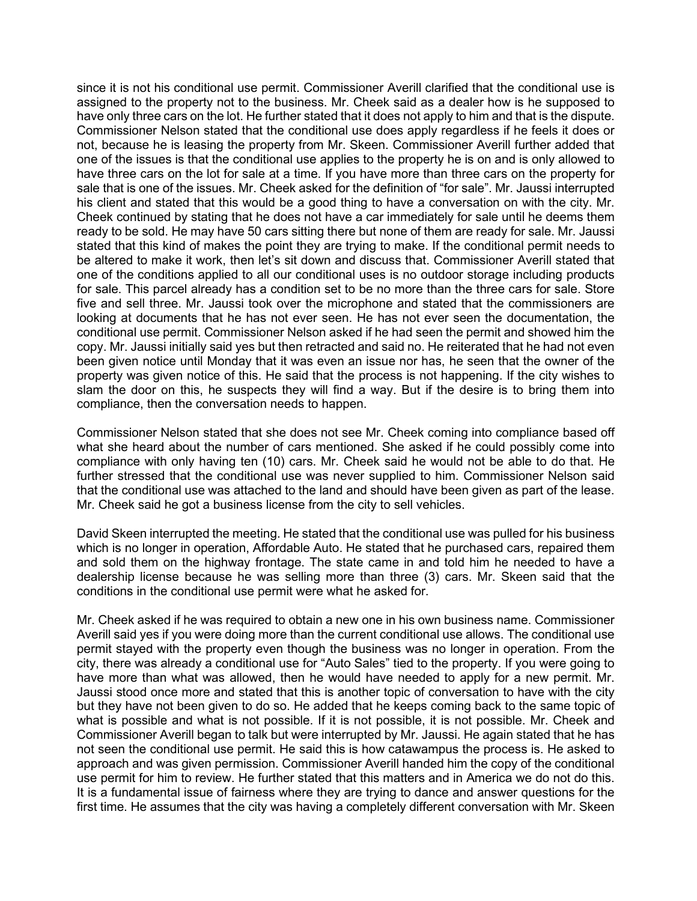since it is not his conditional use permit. Commissioner Averill clarified that the conditional use is assigned to the property not to the business. Mr. Cheek said as a dealer how is he supposed to have only three cars on the lot. He further stated that it does not apply to him and that is the dispute. Commissioner Nelson stated that the conditional use does apply regardless if he feels it does or not, because he is leasing the property from Mr. Skeen. Commissioner Averill further added that one of the issues is that the conditional use applies to the property he is on and is only allowed to have three cars on the lot for sale at a time. If you have more than three cars on the property for sale that is one of the issues. Mr. Cheek asked for the definition of "for sale". Mr. Jaussi interrupted his client and stated that this would be a good thing to have a conversation on with the city. Mr. Cheek continued by stating that he does not have a car immediately for sale until he deems them ready to be sold. He may have 50 cars sitting there but none of them are ready for sale. Mr. Jaussi stated that this kind of makes the point they are trying to make. If the conditional permit needs to be altered to make it work, then let's sit down and discuss that. Commissioner Averill stated that one of the conditions applied to all our conditional uses is no outdoor storage including products for sale. This parcel already has a condition set to be no more than the three cars for sale. Store five and sell three. Mr. Jaussi took over the microphone and stated that the commissioners are looking at documents that he has not ever seen. He has not ever seen the documentation, the conditional use permit. Commissioner Nelson asked if he had seen the permit and showed him the copy. Mr. Jaussi initially said yes but then retracted and said no. He reiterated that he had not even been given notice until Monday that it was even an issue nor has, he seen that the owner of the property was given notice of this. He said that the process is not happening. If the city wishes to slam the door on this, he suspects they will find a way. But if the desire is to bring them into compliance, then the conversation needs to happen.

Commissioner Nelson stated that she does not see Mr. Cheek coming into compliance based off what she heard about the number of cars mentioned. She asked if he could possibly come into compliance with only having ten (10) cars. Mr. Cheek said he would not be able to do that. He further stressed that the conditional use was never supplied to him. Commissioner Nelson said that the conditional use was attached to the land and should have been given as part of the lease. Mr. Cheek said he got a business license from the city to sell vehicles.

David Skeen interrupted the meeting. He stated that the conditional use was pulled for his business which is no longer in operation, Affordable Auto. He stated that he purchased cars, repaired them and sold them on the highway frontage. The state came in and told him he needed to have a dealership license because he was selling more than three (3) cars. Mr. Skeen said that the conditions in the conditional use permit were what he asked for.

Mr. Cheek asked if he was required to obtain a new one in his own business name. Commissioner Averill said yes if you were doing more than the current conditional use allows. The conditional use permit stayed with the property even though the business was no longer in operation. From the city, there was already a conditional use for "Auto Sales" tied to the property. If you were going to have more than what was allowed, then he would have needed to apply for a new permit. Mr. Jaussi stood once more and stated that this is another topic of conversation to have with the city but they have not been given to do so. He added that he keeps coming back to the same topic of what is possible and what is not possible. If it is not possible, it is not possible. Mr. Cheek and Commissioner Averill began to talk but were interrupted by Mr. Jaussi. He again stated that he has not seen the conditional use permit. He said this is how catawampus the process is. He asked to approach and was given permission. Commissioner Averill handed him the copy of the conditional use permit for him to review. He further stated that this matters and in America we do not do this. It is a fundamental issue of fairness where they are trying to dance and answer questions for the first time. He assumes that the city was having a completely different conversation with Mr. Skeen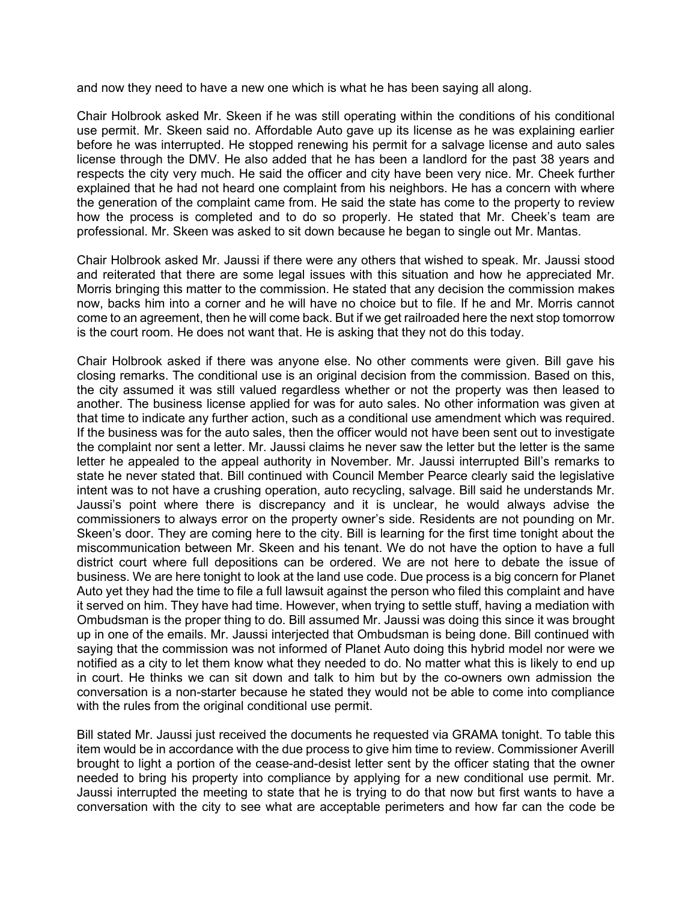and now they need to have a new one which is what he has been saying all along.

Chair Holbrook asked Mr. Skeen if he was still operating within the conditions of his conditional use permit. Mr. Skeen said no. Affordable Auto gave up its license as he was explaining earlier before he was interrupted. He stopped renewing his permit for a salvage license and auto sales license through the DMV. He also added that he has been a landlord for the past 38 years and respects the city very much. He said the officer and city have been very nice. Mr. Cheek further explained that he had not heard one complaint from his neighbors. He has a concern with where the generation of the complaint came from. He said the state has come to the property to review how the process is completed and to do so properly. He stated that Mr. Cheek's team are professional. Mr. Skeen was asked to sit down because he began to single out Mr. Mantas.

Chair Holbrook asked Mr. Jaussi if there were any others that wished to speak. Mr. Jaussi stood and reiterated that there are some legal issues with this situation and how he appreciated Mr. Morris bringing this matter to the commission. He stated that any decision the commission makes now, backs him into a corner and he will have no choice but to file. If he and Mr. Morris cannot come to an agreement, then he will come back. But if we get railroaded here the next stop tomorrow is the court room. He does not want that. He is asking that they not do this today.

Chair Holbrook asked if there was anyone else. No other comments were given. Bill gave his closing remarks. The conditional use is an original decision from the commission. Based on this, the city assumed it was still valued regardless whether or not the property was then leased to another. The business license applied for was for auto sales. No other information was given at that time to indicate any further action, such as a conditional use amendment which was required. If the business was for the auto sales, then the officer would not have been sent out to investigate the complaint nor sent a letter. Mr. Jaussi claims he never saw the letter but the letter is the same letter he appealed to the appeal authority in November. Mr. Jaussi interrupted Bill's remarks to state he never stated that. Bill continued with Council Member Pearce clearly said the legislative intent was to not have a crushing operation, auto recycling, salvage. Bill said he understands Mr. Jaussi's point where there is discrepancy and it is unclear, he would always advise the commissioners to always error on the property owner's side. Residents are not pounding on Mr. Skeen's door. They are coming here to the city. Bill is learning for the first time tonight about the miscommunication between Mr. Skeen and his tenant. We do not have the option to have a full district court where full depositions can be ordered. We are not here to debate the issue of business. We are here tonight to look at the land use code. Due process is a big concern for Planet Auto yet they had the time to file a full lawsuit against the person who filed this complaint and have it served on him. They have had time. However, when trying to settle stuff, having a mediation with Ombudsman is the proper thing to do. Bill assumed Mr. Jaussi was doing this since it was brought up in one of the emails. Mr. Jaussi interjected that Ombudsman is being done. Bill continued with saying that the commission was not informed of Planet Auto doing this hybrid model nor were we notified as a city to let them know what they needed to do. No matter what this is likely to end up in court. He thinks we can sit down and talk to him but by the co-owners own admission the conversation is a non-starter because he stated they would not be able to come into compliance with the rules from the original conditional use permit.

Bill stated Mr. Jaussi just received the documents he requested via GRAMA tonight. To table this item would be in accordance with the due process to give him time to review. Commissioner Averill brought to light a portion of the cease-and-desist letter sent by the officer stating that the owner needed to bring his property into compliance by applying for a new conditional use permit. Mr. Jaussi interrupted the meeting to state that he is trying to do that now but first wants to have a conversation with the city to see what are acceptable perimeters and how far can the code be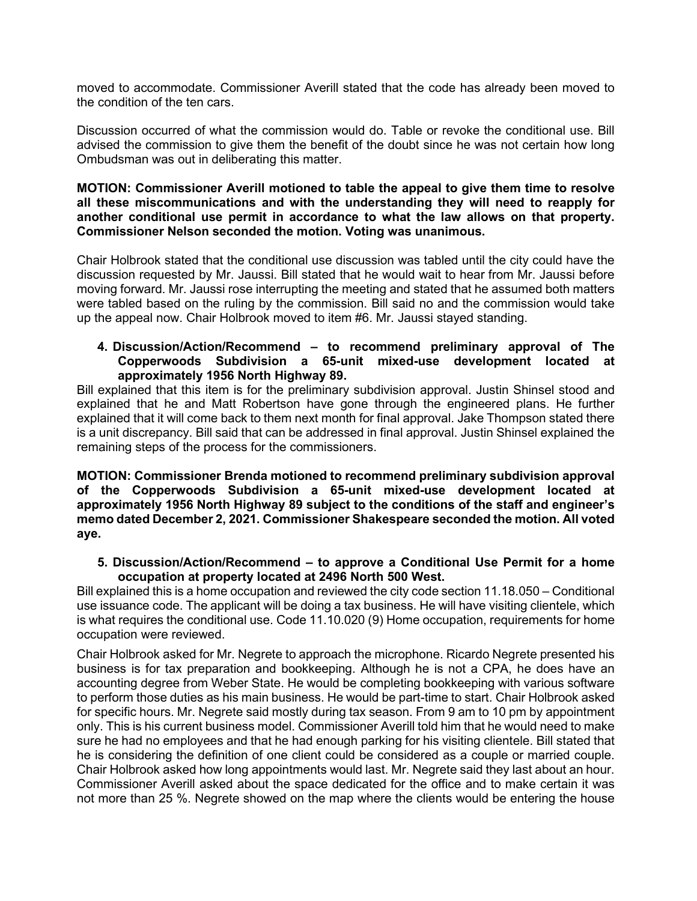moved to accommodate. Commissioner Averill stated that the code has already been moved to the condition of the ten cars.

Discussion occurred of what the commission would do. Table or revoke the conditional use. Bill advised the commission to give them the benefit of the doubt since he was not certain how long Ombudsman was out in deliberating this matter.

### **MOTION: Commissioner Averill motioned to table the appeal to give them time to resolve all these miscommunications and with the understanding they will need to reapply for another conditional use permit in accordance to what the law allows on that property. Commissioner Nelson seconded the motion. Voting was unanimous.**

Chair Holbrook stated that the conditional use discussion was tabled until the city could have the discussion requested by Mr. Jaussi. Bill stated that he would wait to hear from Mr. Jaussi before moving forward. Mr. Jaussi rose interrupting the meeting and stated that he assumed both matters were tabled based on the ruling by the commission. Bill said no and the commission would take up the appeal now. Chair Holbrook moved to item #6. Mr. Jaussi stayed standing.

# **4. Discussion/Action/Recommend – to recommend preliminary approval of The Copperwoods Subdivision a 65-unit mixed-use development located at approximately 1956 North Highway 89.**

Bill explained that this item is for the preliminary subdivision approval. Justin Shinsel stood and explained that he and Matt Robertson have gone through the engineered plans. He further explained that it will come back to them next month for final approval. Jake Thompson stated there is a unit discrepancy. Bill said that can be addressed in final approval. Justin Shinsel explained the remaining steps of the process for the commissioners.

**MOTION: Commissioner Brenda motioned to recommend preliminary subdivision approval of the Copperwoods Subdivision a 65-unit mixed-use development located at approximately 1956 North Highway 89 subject to the conditions of the staff and engineer's memo dated December 2, 2021. Commissioner Shakespeare seconded the motion. All voted aye.**

# **5. Discussion/Action/Recommend – to approve a Conditional Use Permit for a home occupation at property located at 2496 North 500 West.**

Bill explained this is a home occupation and reviewed the city code section 11.18.050 – Conditional use issuance code. The applicant will be doing a tax business. He will have visiting clientele, which is what requires the conditional use. Code 11.10.020 (9) Home occupation, requirements for home occupation were reviewed.

Chair Holbrook asked for Mr. Negrete to approach the microphone. Ricardo Negrete presented his business is for tax preparation and bookkeeping. Although he is not a CPA, he does have an accounting degree from Weber State. He would be completing bookkeeping with various software to perform those duties as his main business. He would be part-time to start. Chair Holbrook asked for specific hours. Mr. Negrete said mostly during tax season. From 9 am to 10 pm by appointment only. This is his current business model. Commissioner Averill told him that he would need to make sure he had no employees and that he had enough parking for his visiting clientele. Bill stated that he is considering the definition of one client could be considered as a couple or married couple. Chair Holbrook asked how long appointments would last. Mr. Negrete said they last about an hour. Commissioner Averill asked about the space dedicated for the office and to make certain it was not more than 25 %. Negrete showed on the map where the clients would be entering the house